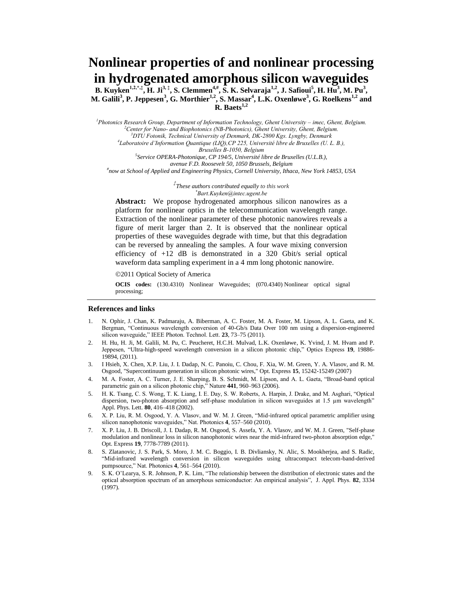# **Nonlinear properties of and nonlinear processing in hydrogenated amorphous silicon waveguides**

**B. Kuyken1,2,\*,‡, H. Ji3, ‡ , S. Clemmen4,# , S. K. Selvaraja1,2, J. Safioui<sup>5</sup> , H. Hu<sup>3</sup> , M. Pu<sup>3</sup> , M. Galili<sup>3</sup> , P. Jeppesen<sup>3</sup> , G. Morthier1,2 , S. Massar<sup>4</sup> , L.K. Oxenløwe<sup>3</sup> , G. Roelkens1,2 and R. Baets1,2**

<sup>1</sup>*Photonics Research Group, Department of Information Technology, Ghent University – imec, Ghent, Belgium. <sup>2</sup>Center for Nano- and Biophotonics (NB-Photonics), Ghent University, Ghent, Belgium. <sup>3</sup>DTU Fotonik, Technical University of Denmark, DK-2800 Kgs. Lyngby, Denmark 4 Laboratoire d'Information Quantique (LIQ),CP 225, Université libre de Bruxelles (U. L. B.), Bruxelles B-1050, Belgium 5 Service OPERA-Photonique, CP 194/5, Université libre de Bruxelles (U.L.B.), avenue F.D. Roosevelt 50, 1050 Brussels, Belgium*

*# now at School of Applied and Engineering Physics, Cornell University, Ithaca, New York 14853, USA*

*‡ These authors contributed equally to this work \*Bart.Kuyken@intec.ugent.be*

**Abstract:** We propose hydrogenated amorphous silicon nanowires as a platform for nonlinear optics in the telecommunication wavelength range. Extraction of the nonlinear parameter of these photonic nanowires reveals a figure of merit larger than 2. It is observed that the nonlinear optical properties of these waveguides degrade with time, but that this degradation can be reversed by annealing the samples. A four wave mixing conversion efficiency of +12 dB is demonstrated in a 320 Gbit/s serial optical waveform data sampling experiment in a 4 mm long photonic nanowire.

2011 Optical Society of America

**OCIS codes:** (130.4310) Nonlinear Waveguides; (070.4340) Nonlinear optical signal processing;

#### **References and links**

- 1. N. Ophir, J. Chan, K. Padmaraju, A. Biberman, A. C. Foster, M. A. Foster, M. Lipson, A. L. Gaeta, and K. Bergman, "Continuous wavelength conversion of 40-Gb/s Data Over 100 nm using a dispersion-engineered silicon waveguide," IEEE Photon. Technol. Lett. **23**, 73–75 (2011).
- 2. H. Hu, H. Ji, M. Galili, M. Pu, C. Peucheret, H.C.H. Mulvad, L.K. Oxenløwe, K. Yvind, J. M. Hvam and P. Jeppesen, "Ultra-high-speed wavelength conversion in a silicon photonic chip," Optics Express **19**, 19886- 19894, (2011).
- 3. I Hsieh, X. Chen, X.P. Liu, J. I. Dadap, N. C. Panoiu, C. Chou, F. Xia, W. M. Green, Y. A. Vlasov, and R. M. Osgood, "Supercontinuum generation in silicon photonic wires," Opt. Express **15**, 15242-15249 (2007)
- 4. M. A. Foster, A. C. Turner, J. E. Sharping, B. S. Schmidt, M. Lipson, and A. L. Gaeta, "Broad-band optical parametric gain on a silicon photonic chip," Nature **441**, 960–963 (2006).
- 5. H. K. Tsang, C. S. Wong, T. K. Liang, I. E. Day, S. W. Roberts, A. Harpin, J. Drake, and M. Asghari, "Optical dispersion, two-photon absorption and self-phase modulation in silicon waveguides at 1.5  $\mu$ m wavelength" Appl. Phys. Lett. **80**, 416–418 (2002).
- 6. X. P. Liu, R. M. Osgood, Y. A. Vlasov, and W. M. J. Green, "Mid-infrared optical parametric amplifier using silicon nanophotonic waveguides," Nat. Photonics **4**, 557–560 (2010).
- 7. X. P. Liu, J. B. Driscoll, J. I. Dadap, R. M. Osgood, S. Assefa, Y. A. Vlasov, and W. M. J. Green, "Self-phase modulation and nonlinear loss in silicon nanophotonic wires near the mid-infrared two-photon absorption edge," Opt. Express **19**, 7778-7789 (2011).
- 8. S. Zlatanovic, J. S. Park, S. Moro, J. M. C. Boggio, I. B. Divliansky, N. Alic, S. Mookherjea, and S. Radic, "Mid-infrared wavelength conversion in silicon waveguides using ultracompact telecom-band-derived pumpsource," Nat. Photonics **4**, 561–564 (2010).
- 9. S. K. O'Learya, S. R. Johnson, P. K. Lim, "The relationship between the distribution of electronic states and the optical absorption spectrum of an amorphous semiconductor: An empirical analysis", J. Appl. Phys. **82**, 3334 (1997).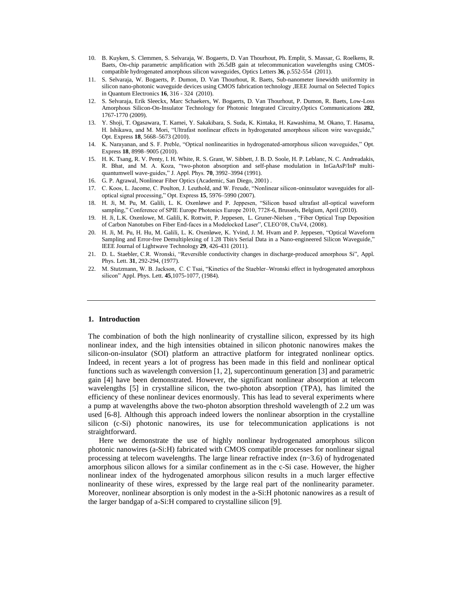- 10. B. Kuyken, S. Clemmen, S. Selvaraja, W. Bogaerts, D. Van Thourhout, Ph. Emplit, S. Massar, G. Roelkens, R. Baets, On-chip parametric amplification with 26.5dB gain at telecommunication wavelengths using CMOScompatible hydrogenated amorphous silicon waveguides, Optics Letters **36**, p.552-554 (2011).
- 11. S. Selvaraja, W. Bogaerts, P. Dumon, D. Van Thourhout, R. Baets, Sub-nanometer linewidth uniformity in silicon nano-photonic waveguide devices using CMOS fabrication technology ,IEEE Journal on Selected Topics in Quantum Electronics **16**, 316 - 324 (2010).
- 12. S. Selvaraja, Erik Sleeckx, Marc Schaekers, W. Bogaerts, D. Van Thourhout, P. Dumon, R. Baets, Low-Loss Amorphous Silicon-On-Insulator Technology for Photonic Integrated Circuitry,Optics Communications **282**, 1767-1770 (2009).
- 13. Y. Shoji, T. Ogasawara, T. Kamei, Y. Sakakibara, S. Suda, K. Kintaka, H. Kawashima, M. Okano, T. Hasama, H. Ishikawa, and M. Mori, "Ultrafast nonlinear effects in hydrogenated amorphous silicon wire waveguide," Opt. Express **18**, 5668–5673 (2010).
- 14. K. Narayanan, and S. F. Preble, "Optical nonlinearities in hydrogenated-amorphous silicon waveguides," Opt. Express **18**, 8998–9005 (2010).
- 15. H. K. Tsang, R. V. Penty, I. H. White, R. S. Grant, W. Sibbett, J. B. D. Soole, H. P. Leblanc, N. C. Andreadakis, R. Bhat, and M. A. Koza, "two-photon absorption and self-phase modulation in InGaAsP/InP multiquantumwell wave-guides," J. Appl. Phys. **70**, 3992–3994 (1991).
- 16. G. P. Agrawal, Nonlinear Fiber Optics (Academic, San Diego, 2001) .
- 17. C. Koos, L. Jacome, C. Poulton, J. Leuthold, and W. Freude, "Nonlinear silicon-oninsulator waveguides for alloptical signal processing," Opt. Express **15**, 5976–5990 (2007).
- 18. H. Ji, M. Pu, M. Galili, L. K. Oxenløwe and P. Jeppesen, "Silicon based ultrafast all-optical waveform sampling," Conference of SPIE Europe Photonics Europe 2010, 7728-6, Brussels, Belgium, April (2010).
- 19. H. Ji, L.K. Oxenlowe, M. Galili, K. Rottwitt, P. Jeppesen, L. Gruner-Nielsen , "Fiber Optical Trap Deposition of Carbon Nanotubes on Fiber End-faces in a Modelocked Laser", CLEO'08, CtuV4, (2008).
- 20. H. Ji, M. Pu, H. Hu, M. Galili, L. K. Oxenløwe, K. Yvind, J. M. Hvam and P. Jeppesen, "Optical Waveform Sampling and Error-free Demultiplexing of 1.28 Tbit/s Serial Data in a Nano-engineered Silicon Waveguide," IEEE Journal of Lightwave Technology **29**, 426-431 (2011).
- 21. D. L. Staebler, C.R. Wronski, "Reversible conductivity changes in discharge-produced amorphous Si", [Appl.](http://ieeexplore.ieee.org/xpl/RecentIssue.jsp?punumber=4816218)  [Phys. Lett.](http://ieeexplore.ieee.org/xpl/RecentIssue.jsp?punumber=4816218) **31**, 292-294, (1977).
- 22. M. Stutzmann, W. B. Jackson, C. C Tsai, "Kinetics of the Staebler–Wronski effect in hydrogenated amorphous silicon[" Appl. Phys. Lett.](http://ieeexplore.ieee.org/xpl/RecentIssue.jsp?punumber=4816218) **45**,1075-1077, (1984).

# **1. Introduction**

The combination of both the high nonlinearity of crystalline silicon, expressed by its high nonlinear index, and the high intensities obtained in silicon photonic nanowires makes the silicon-on-insulator (SOI) platform an attractive platform for integrated nonlinear optics. Indeed, in recent years a lot of progress has been made in this field and nonlinear optical functions such as wavelength conversion [1, 2], supercontinuum generation [3] and parametric gain [4] have been demonstrated. However, the significant nonlinear absorption at telecom wavelengths [5] in crystalline silicon, the two-photon absorption (TPA), has limited the efficiency of these nonlinear devices enormously. This has lead to several experiments where a pump at wavelengths above the two-photon absorption threshold wavelength of 2.2 um was used [6-8]. Although this approach indeed lowers the nonlinear absorption in the crystalline silicon (c-Si) photonic nanowires, its use for telecommunication applications is not straightforward.

Here we demonstrate the use of highly nonlinear hydrogenated amorphous silicon photonic nanowires (a-Si:H) fabricated with CMOS compatible processes for nonlinear signal processing at telecom wavelengths. The large linear refractive index (n~3.6) of hydrogenated amorphous silicon allows for a similar confinement as in the c-Si case. However, the higher nonlinear index of the hydrogenated amorphous silicon results in a much larger effective nonlinearity of these wires, expressed by the large real part of the nonlinearity parameter. Moreover, nonlinear absorption is only modest in the a-Si:H photonic nanowires as a result of the larger bandgap of a-Si:H compared to crystalline silicon [9].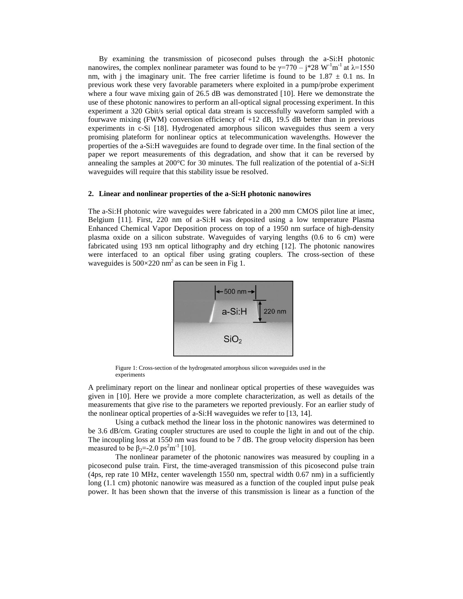By examining the transmission of picosecond pulses through the a-Si:H photonic nanowires, the complex nonlinear parameter was found to be  $\gamma = 770 - j*28 \text{ W}^{-1} \text{m}^{-1}$  at  $\lambda = 1550$ nm, with j the imaginary unit. The free carrier lifetime is found to be  $1.87 \pm 0.1$  ns. In previous work these very favorable parameters where exploited in a pump/probe experiment where a four wave mixing gain of 26.5 dB was demonstrated [10]. Here we demonstrate the use of these photonic nanowires to perform an all-optical signal processing experiment. In this experiment a 320 Gbit/s serial optical data stream is successfully waveform sampled with a fourwave mixing (FWM) conversion efficiency of  $+12$  dB, 19.5 dB better than in previous experiments in c-Si [18]. Hydrogenated amorphous silicon waveguides thus seem a very promising plateform for nonlinear optics at telecommunication wavelengths. However the properties of the a-Si:H waveguides are found to degrade over time. In the final section of the paper we report measurements of this degradation, and show that it can be reversed by annealing the samples at 200°C for 30 minutes. The full realization of the potential of a-Si:H waveguides will require that this stability issue be resolved.

## **2. Linear and nonlinear properties of the a-Si:H photonic nanowires**

The a-Si:H photonic wire waveguides were fabricated in a 200 mm CMOS pilot line at imec, Belgium [11]. First, 220 nm of a-Si:H was deposited using a low temperature Plasma Enhanced Chemical Vapor Deposition process on top of a 1950 nm surface of high-density plasma oxide on a silicon substrate. Waveguides of varying lengths (0.6 to 6 cm) were fabricated using 193 nm optical lithography and dry etching [12]. The photonic nanowires were interfaced to an optical fiber using grating couplers. The cross-section of these waveguides is  $500 \times 220$  nm<sup>2</sup> as can be seen in Fig 1.



Figure 1: Cross-section of the hydrogenated amorphous silicon waveguides used in the experiments

A preliminary report on the linear and nonlinear optical properties of these waveguides was given in [10]. Here we provide a more complete characterization, as well as details of the measurements that give rise to the parameters we reported previously. For an earlier study of the nonlinear optical properties of a-Si:H waveguides we refer to [13, 14].

Using a cutback method the linear loss in the photonic nanowires was determined to be 3.6 dB/cm. Grating coupler structures are used to couple the light in and out of the chip. The incoupling loss at 1550 nm was found to be 7 dB. The group velocity dispersion has been measured to be  $\beta_2 = -2.0 \text{ ps}^2 \text{m}^{-1}$  [10].

The nonlinear parameter of the photonic nanowires was measured by coupling in a picosecond pulse train. First, the time-averaged transmission of this picosecond pulse train (4ps, rep rate 10 MHz, center wavelength 1550 nm, spectral width 0.67 nm) in a sufficiently long (1.1 cm) photonic nanowire was measured as a function of the coupled input pulse peak power. It has been shown that the inverse of this transmission is linear as a function of the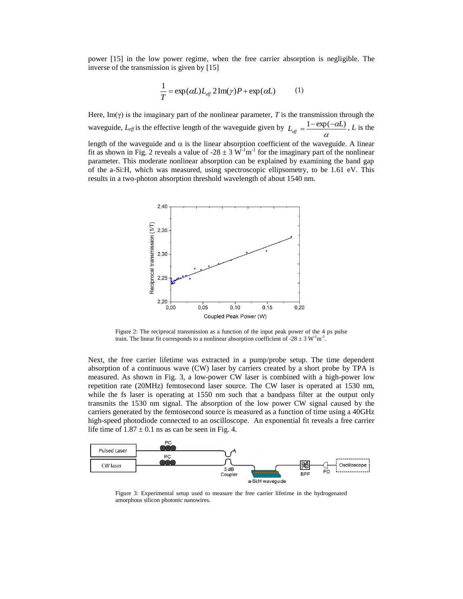power [15] in the low power regime, when the free carrier absorption is negligible. The inverse of the transmission is given by [15]

$$
\frac{1}{T} = \exp(\alpha L) L_{\text{eff}} 2 \operatorname{Im}(\gamma) P + \exp(\alpha L) \tag{1}
$$

Here, Im( $\gamma$ ) is the imaginary part of the nonlinear parameter, *T* is the transmission through the waveguide,  $L_{eff}$  is the effective length of the waveguide given by  $L_{eff} = \frac{1 - \epsilon \Delta p}{\alpha}$  $L_{\text{eff}} = \frac{1 - \exp(-\alpha L)}{L}$ , *L* is the length of the waveguide and  $\alpha$  is the linear absorption coefficient of the waveguide. A linear fit as shown in Fig. 2 reveals a value of -28  $\pm$  3 W<sup>-1</sup>m<sup>-1</sup> for the imaginary part of the nonlinear parameter. This moderate nonlinear absorption can be explained by examining the band gap of the a-Si:H, which was measured, using spectroscopic ellipsometry, to be 1.61 eV. This results in a two-photon absorption threshold wavelength of about 1540 nm.



Figure 2: The reciprocal transmission as a function of the input peak power of the 4 ps pulse train. The linear fit corresponds to a nonlinear absorption coefficient of  $-28 \pm 3$  W<sup>-1</sup>m<sup>-1</sup>.

Next, the free carrier lifetime was extracted in a pump/probe setup. The time dependent absorption of a continuous wave (CW) laser by carriers created by a short probe by TPA is measured. As shown in Fig. 3, a low-power CW laser is combined with a high-power low repetition rate (20MHz) femtosecond laser source. The CW laser is operated at 1530 nm, while the fs laser is operating at 1550 nm such that a bandpass filter at the output only transmits the 1530 nm signal. The absorption of the low power CW signal caused by the carriers generated by the femtosecond source is measured as a function of time using a 40GHz high-speed photodiode connected to an oscilloscope. An exponential fit reveals a free carrier life time of  $1.87 \pm 0.1$  ns as can be seen in Fig. 4.



Figure 3: Experimental setup used to measure the free carrier lifetime in the hydrogenated amorphous silicon photonic nanowires.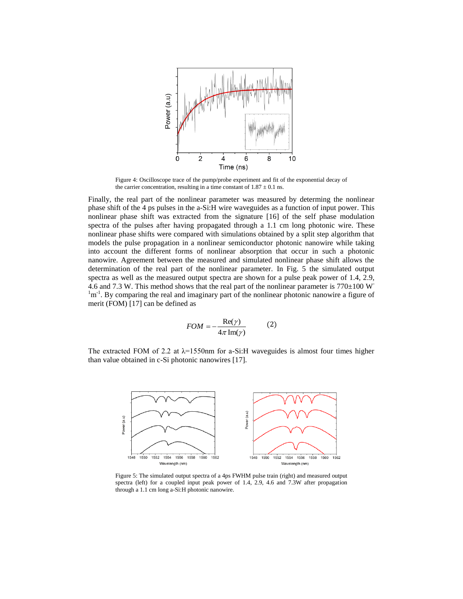

Figure 4: Oscilloscope trace of the pump/probe experiment and fit of the exponential decay of the carrier concentration, resulting in a time constant of  $1.87 \pm 0.1$  ns.

Finally, the real part of the nonlinear parameter was measured by determing the nonlinear phase shift of the 4 ps pulses in the a-Si:H wire waveguides as a function of input power. This nonlinear phase shift was extracted from the signature [16] of the self phase modulation spectra of the pulses after having propagated through a 1.1 cm long photonic wire. These nonlinear phase shifts were compared with simulations obtained by a split step algorithm that models the pulse propagation in a nonlinear semiconductor photonic nanowire while taking into account the different forms of nonlinear absorption that occur in such a photonic nanowire. Agreement between the measured and simulated nonlinear phase shift allows the determination of the real part of the nonlinear parameter. In Fig. 5 the simulated output spectra as well as the measured output spectra are shown for a pulse peak power of 1.4, 2.9, 4.6 and 7.3 W. This method shows that the real part of the nonlinear parameter is 770 $\pm$ 100 W<sup>-</sup>  $\rm{m}^{1}$ . By comparing the real and imaginary part of the nonlinear photonic nanowire a figure of merit (FOM) [17] can be defined as

$$
FOM = -\frac{\text{Re}(\gamma)}{4\pi \text{Im}(\gamma)}\tag{2}
$$

The extracted FOM of 2.2 at  $\lambda$ =1550nm for a-Si:H waveguides is almost four times higher than value obtained in c-Si photonic nanowires [17].



Figure 5: The simulated output spectra of a 4ps FWHM pulse train (right) and measured output spectra (left) for a coupled input peak power of 1.4, 2.9, 4.6 and 7.3W after propagation through a 1.1 cm long a-Si:H photonic nanowire.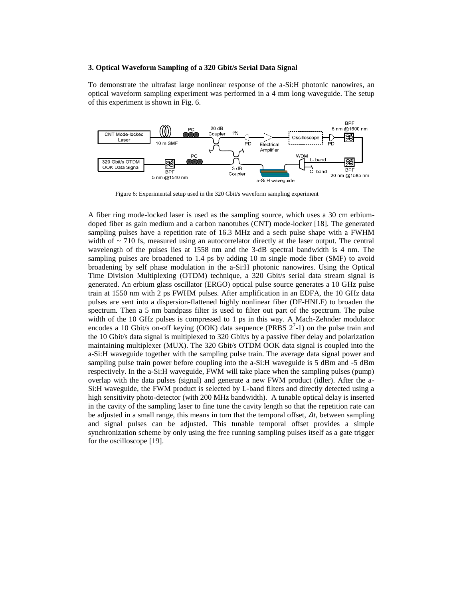## **3. Optical Waveform Sampling of a 320 Gbit/s Serial Data Signal**

To demonstrate the ultrafast large nonlinear response of the a-Si:H photonic nanowires, an optical waveform sampling experiment was performed in a 4 mm long waveguide. The setup of this experiment is shown in Fig. 6.



Figure 6: Experimental setup used in the 320 Gbit/s waveform sampling experiment

A fiber ring mode-locked laser is used as the sampling source, which uses a 30 cm erbiumdoped fiber as gain medium and a carbon nanotubes (CNT) mode-locker [18]. The generated sampling pulses have a repetition rate of 16.3 MHz and a sech pulse shape with a FWHM width of  $\sim$  710 fs, measured using an autocorrelator directly at the laser output. The central wavelength of the pulses lies at 1558 nm and the 3-dB spectral bandwidth is 4 nm. The sampling pulses are broadened to 1.4 ps by adding 10 m single mode fiber (SMF) to avoid broadening by self phase modulation in the a-Si:H photonic nanowires. Using the Optical Time Division Multiplexing (OTDM) technique, a 320 Gbit/s serial data stream signal is generated. An erbium glass oscillator (ERGO) optical pulse source generates a 10 GHz pulse train at 1550 nm with 2 ps FWHM pulses. After amplification in an EDFA, the 10 GHz data pulses are sent into a dispersion-flattened highly nonlinear fiber (DF-HNLF) to broaden the spectrum. Then a 5 nm bandpass filter is used to filter out part of the spectrum. The pulse width of the 10 GHz pulses is compressed to 1 ps in this way. A Mach-Zehnder modulator encodes a 10 Gbit/s on-off keying (OOK) data sequence (PRBS  $2^7$ -1) on the pulse train and the 10 Gbit/s data signal is multiplexed to 320 Gbit/s by a passive fiber delay and polarization maintaining multiplexer (MUX). The 320 Gbit/s OTDM OOK data signal is coupled into the a-Si:H waveguide together with the sampling pulse train. The average data signal power and sampling pulse train power before coupling into the a-Si:H waveguide is 5 dBm and -5 dBm respectively. In the a-Si:H waveguide, FWM will take place when the sampling pulses (pump) overlap with the data pulses (signal) and generate a new FWM product (idler). After the a-Si:H waveguide, the FWM product is selected by L-band filters and directly detected using a high sensitivity photo-detector (with 200 MHz bandwidth). A tunable optical delay is inserted in the cavity of the sampling laser to fine tune the cavity length so that the repetition rate can be adjusted in a small range, this means in turn that the temporal offset, *Δt*, between sampling and signal pulses can be adjusted. This tunable temporal offset provides a simple synchronization scheme by only using the free running sampling pulses itself as a gate trigger for the oscilloscope [19].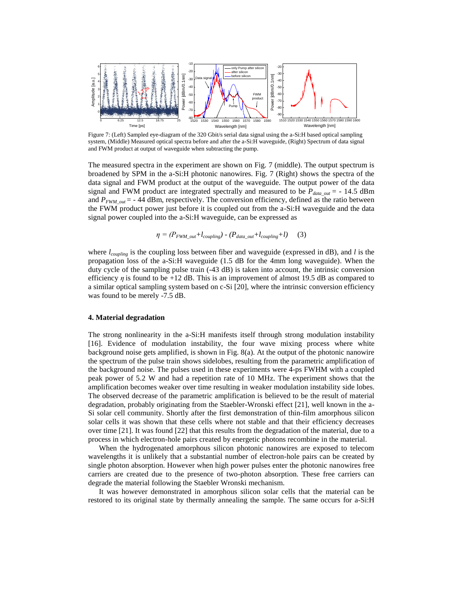

Figure 7: (Left) Sampled eye-diagram of the 320 Gbit/s serial data signal using the a-Si:H based optical sampling system, (Middle) Measured optical spectra before and after the a-Si:H waveguide, (Right) Spectrum of data signal and FWM product at output of waveguide when subtracting the pump.

The measured spectra in the experiment are shown on Fig. 7 (middle). The output spectrum is broadened by SPM in the a-Si:H photonic nanowires. Fig. 7 (Right) shows the spectra of the data signal and FWM product at the output of the waveguide. The output power of the data signal and FWM product are integrated spectrally and measured to be  $P_{data\,\,out}$  = - 14.5 dBm and  $P_{FWM\,\,out}$  = - 44 dBm, respectively. The conversion efficiency, defined as the ratio between the FWM product power just before it is coupled out from the a-Si:H waveguide and the data signal power coupled into the a-Si:H waveguide, can be expressed as

$$
\eta = (P_{FWM\_out} + l_{coupling}) - (P_{data\_out} + l_{coupling} + l) \tag{3}
$$

where *lcoupling* is the coupling loss between fiber and waveguide (expressed in dB), and *l* is the propagation loss of the a-Si:H waveguide (1.5 dB for the 4mm long waveguide). When the duty cycle of the sampling pulse train (-43 dB) is taken into account, the intrinsic conversion efficiency  $\eta$  is found to be +12 dB. This is an improvement of almost 19.5 dB as compared to a similar optical sampling system based on c-Si [20], where the intrinsic conversion efficiency was found to be merely -7.5 dB.

# **4. Material degradation**

The strong nonlinearity in the a-Si:H manifests itself through strong modulation instability [16]. Evidence of modulation instability, the four wave mixing process where white background noise gets amplified, is shown in Fig. 8(a). At the output of the photonic nanowire the spectrum of the pulse train shows sidelobes, resulting from the parametric amplification of the background noise. The pulses used in these experiments were 4-ps FWHM with a coupled peak power of 5.2 W and had a repetition rate of 10 MHz. The experiment shows that the amplification becomes weaker over time resulting in weaker modulation instability side lobes. The observed decrease of the parametric amplification is believed to be the result of material degradation, probably originating from the Staebler-Wronski effect [21], well known in the a-Si solar cell community. Shortly after the first demonstration of thin-film amorphous silicon solar cells it was shown that these cells where not stable and that their efficiency decreases over time [21]. It was found [22] that this results from the degradation of the material, due to a process in which electron-hole pairs created by energetic photons recombine in the material.

When the hydrogenated amorphous silicon photonic nanowires are exposed to telecom wavelengths it is unlikely that a substantial number of electron-hole pairs can be created by single photon absorption. However when high power pulses enter the photonic nanowires free carriers are created due to the presence of two-photon absorption. These free carriers can degrade the material following the Staebler Wronski mechanism.

It was however demonstrated in amorphous silicon solar cells that the material can be restored to its original state by thermally annealing the sample. The same occurs for a-Si:H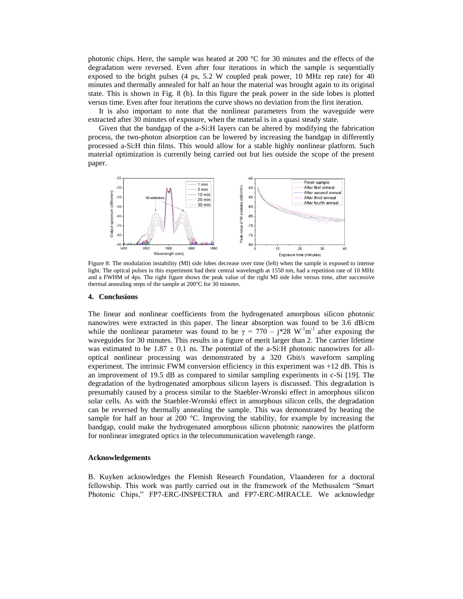photonic chips. Here, the sample was heated at 200 °C for 30 minutes and the effects of the degradation were reversed. Even after four iterations in which the sample is sequentially exposed to the bright pulses (4 ps, 5.2 W coupled peak power, 10 MHz rep rate) for 40 minutes and thermally annealed for half an hour the material was brought again to its original state. This is shown in Fig. 8 (b). In this figure the peak power in the side lobes is plotted versus time. Even after four iterations the curve shows no deviation from the first iteration.

It is also important to note that the nonlinear parameters from the waveguide were extracted after 30 minutes of exposure, when the material is in a quasi steady state.

Given that the bandgap of the a-Si:H layers can be altered by modifying the fabrication process, the two-photon absorption can be lowered by increasing the bandgap in differently processed a-Si:H thin films. This would allow for a stable highly nonlinear platform. Such material optimization is currently being carried out but lies outside the scope of the present paper.



Figure 8: The modulation instability (MI) side lobes decrease over time (left) when the sample is exposed to intense light. The optical pulses in this experiment had their central wavelength at 1550 nm, had a repetition rate of 10 MHz and a FWHM of 4ps. The right figure shows the peak value of the right MI side lobe versus time, after successive thermal annealing steps of the sample at 200°C for 30 minutes.

#### **4. Conclusions**

The linear and nonlinear coefficients from the hydrogenated amorphous silicon photonic nanowires were extracted in this paper. The linear absorption was found to be 3.6 dB/cm while the nonlinear parameter was found to be  $\gamma = 770 - j*28$  W<sup>-1</sup>m<sup>-1</sup> after exposing the waveguides for 30 minutes. This results in a figure of merit larger than 2. The carrier lifetime was estimated to be 1.87  $\pm$  0.1 ns. The potential of the a-Si:H photonic nanowires for alloptical nonlinear processing was demonstrated by a 320 Gbit/s waveform sampling experiment. The intrinsic FWM conversion efficiency in this experiment was +12 dB. This is an improvement of 19.5 dB as compared to similar sampling experiments in c-Si [19]. The degradation of the hydrogenated amorphous silicon layers is discussed. This degradation is presumably caused by a process similar to the Staebler-Wronski effect in amorphous silicon solar cells. As with the Staebler-Wronski effect in amorphous silicon cells, the degradation can be reversed by thermally annealing the sample. This was demonstrated by heating the sample for half an hour at 200  $^{\circ}$ C. Improving the stability, for example by increasing the bandgap, could make the hydrogenated amorphous silicon photonic nanowires the platform for nonlinear integrated optics in the telecommunication wavelength range.

### **Acknowledgements**

B. Kuyken acknowledges the Flemish Research Foundation, Vlaanderen for a doctoral fellowship. This work was partly carried out in the framework of the Methusalem "Smart Photonic Chips," FP7-ERC-INSPECTRA and FP7-ERC-MIRACLE. We acknowledge